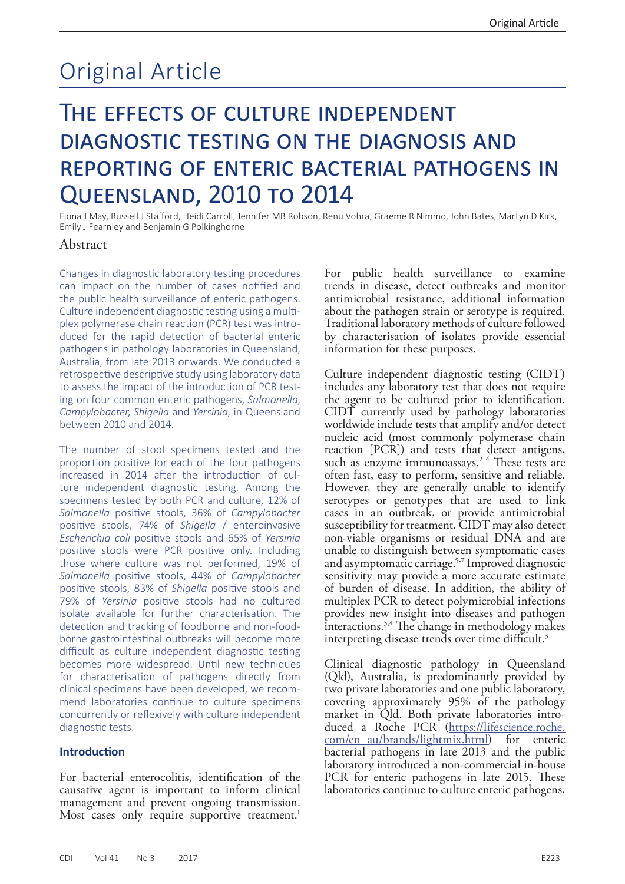# Original Article

## The effects of culture independent diagnostic testing on the diagnosis and reporting of enteric bacterial pathogens in Queensland, 2010 to 2014

Fiona J May, Russell J Stafford, Heidi Carroll, Jennifer MB Robson, Renu Vohra, Graeme R Nimmo, John Bates, Martyn D Kirk, Emily J Fearnley and Benjamin G Polkinghorne

#### Abstract

Changes in diagnostic laboratory testing procedures can impact on the number of cases notified and the public health surveillance of enteric pathogens. Culture independent diagnostic testing using a multiplex polymerase chain reaction (PCR) test was introduced for the rapid detection of bacterial enteric pathogens in pathology laboratories in Queensland, Australia, from late 2013 onwards. We conducted a retrospective descriptive study using laboratory data to assess the impact of the introduction of PCR testing on four common enteric pathogens, *Salmonella*, *Campylobacter*, *Shigella* and *Yersinia*, in Queensland between 2010 and 2014.

The number of stool specimens tested and the proportion positive for each of the four pathogens increased in 2014 after the introduction of culture independent diagnostic testing. Among the specimens tested by both PCR and culture, 12% of *Salmonella* positive stools, 36% of *Campylobacter* positive stools, 74% of *Shigella* / enteroinvasive *Escherichia coli* positive stools and 65% of *Yersinia* positive stools were PCR positive only. Including those where culture was not performed, 19% of *Salmonella* positive stools, 44% of *Campylobacter* positive stools, 83% of *Shigella* positive stools and 79% of *Yersinia* positive stools had no cultured isolate available for further characterisation. The detection and tracking of foodborne and non-foodborne gastrointestinal outbreaks will become more difficult as culture independent diagnostic testing becomes more widespread. Until new techniques for characterisation of pathogens directly from clinical specimens have been developed, we recommend laboratories continue to culture specimens concurrently or reflexively with culture independent diagnostic tests.

#### **Introduction**

For bacterial enterocolitis, identification of the causative agent is important to inform clinical management and prevent ongoing transmission. Most cases only require supportive treatment.<sup>1</sup>

For public health surveillance to examine trends in disease, detect outbreaks and monitor antimicrobial resistance, additional information about the pathogen strain or serotype is required. Traditional laboratory methods of culture followed by characterisation of isolates provide essential information for these purposes.

Culture independent diagnostic testing (CIDT) includes any laboratory test that does not require the agent to be cultured prior to identification. CIDT currently used by pathology laboratories worldwide include tests that amplify and/or detect nucleic acid (most commonly polymerase chain reaction [PCR]) and tests that detect antigens, such as enzyme immunoassays.<sup>2-4</sup> These tests are often fast, easy to perform, sensitive and reliable. However, they are generally unable to identify serotypes or genotypes that are used to link cases in an outbreak, or provide antimicrobial susceptibility for treatment. CIDT may also detect non-viable organisms or residual DNA and are unable to distinguish between symptomatic cases and asymptomatic carriage.<sup>5-7</sup> Improved diagnostic sensitivity may provide a more accurate estimate of burden of disease. In addition, the ability of multiplex PCR to detect polymicrobial infections provides new insight into diseases and pathogen  $\frac{1}{2}$ interactions.<sup>3,4</sup> The change in methodology makes interpreting disease trends over time difficult.<sup>3</sup>

Clinical diagnostic pathology in Queensland (Qld), Australia, is predominantly provided by two private laboratories and one public laboratory, covering approximately 95% of the pathology market in Qld. Both private laboratories intro-<br>duced a Roche PCR ([https://lifescience.roche.](https://lifescience.roche.com/en_au/brands/lightmix.html) [com/en\\_au/brands/lightmix.html\)](https://lifescience.roche.com/en_au/brands/lightmix.html) for enteric bacterial pathogens in late 2013 and the public laboratory introduced a non-commercial in-house PCR for enteric pathogens in late 2015. These laboratories continue to culture enteric pathogens,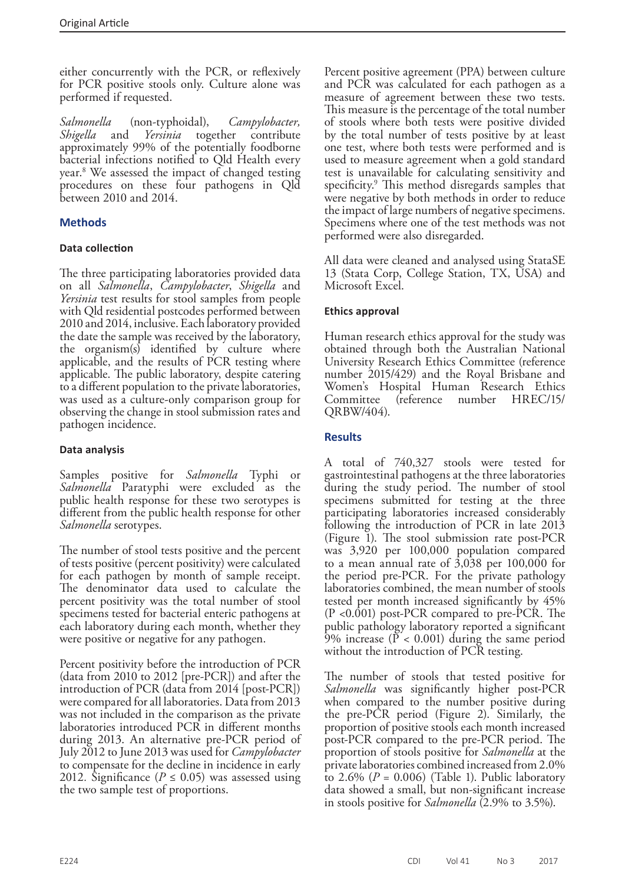either concurrently with the PCR, or reflexively for PCR positive stools only. Culture alone was performed if requested.

*Salmonella* (non-typhoidal), *Campylobacter, Shigella* and *Yersinia* together contribute approximately 99% of the potentially foodborne bacterial infections notified to Qld Health every year.8 We assessed the impact of changed testing procedures on these four pathogens in Qld between 2010 and 2014.

### **Methods**

#### **Data collection**

The three participating laboratories provided data on all *Salmonella*, *Campylobacter*, *Shigella* and *Yersinia* test results for stool samples from people with Qld residential postcodes performed between 2010 and 2014, inclusive. Each laboratory provided the date the sample was received by the laboratory, the organism(s) identified by culture where applicable, and the results of PCR testing where applicable. The public laboratory, despite catering to a different population to the private laboratories, was used as a culture-only comparison group for observing the change in stool submission rates and pathogen incidence.

#### **Data analysis**

Samples positive for *Salmonella* Typhi or Salmonella Paratyphi were excluded as the public health response for these two serotypes is different from the public health response for other *Salmonella* serotypes.

The number of stool tests positive and the percent of tests positive (percent positivity) were calculated for each pathogen by month of sample receipt. The denominator data used to calculate the percent positivity was the total number of stool specimens tested for bacterial enteric pathogens at each laboratory during each month, whether they were positive or negative for any pathogen.

Percent positivity before the introduction of PCR (data from 2010 to 2012 [pre-PCR]) and after the introduction of PCR (data from 2014 [post-PCR]) were compared for all laboratories. Data from 2013 was not included in the comparison as the private laboratories introduced PCR in different months during 2013. An alternative pre-PCR period of July 2012 to June 2013 was used for *Campylobacter*  to compensate for the decline in incidence in early 2012. Significance ( $P \le 0.05$ ) was assessed using the two sample test of proportions.

Percent positive agreement (PPA) between culture and PCR was calculated for each pathogen as a measure of agreement between these two tests. This measure is the percentage of the total number of stools where both tests were positive divided by the total number of tests positive by at least one test, where both tests were performed and is used to measure agreement when a gold standard test is unavailable for calculating sensitivity and specificity.9 This method disregards samples that were negative by both methods in order to reduce the impact of large numbers of negative specimens. Specimens where one of the test methods was not performed were also disregarded.

All data were cleaned and analysed using StataSE 13 (Stata Corp, College Station, TX, USA) and Microsoft Excel.

#### **Ethics approval**

Human research ethics approval for the study was obtained through both the Australian National University Research Ethics Committee (reference number 2015/429) and the Royal Brisbane and Women's Hospital Human Research Ethics Committee (reference number HREC/15/ QRBW/404).

#### **Results**

A total of 740,327 stools were tested for gastrointestinal pathogens at the three laboratories during the study period. The number of stool specimens submitted for testing at the three participating laboratories increased considerably following the introduction of PCR in late 2013 (Figure 1). The stool submission rate post-PCR was 3,920 per 100,000 population compared to a mean annual rate of  $\overline{3,038}$  per 100,000 for the period pre-PCR. For the private pathology laboratories combined, the mean number of stools tested per month increased significantly by 45% (P <0.001) post-PCR compared to pre-PCR. The public pathology laboratory reported a significant 9% increase ( $P < 0.001$ ) during the same period without the introduction of PCR testing.

The number of stools that tested positive for *Salmonella* was significantly higher post-PCR when compared to the number positive during the pre-PCR period (Figure 2). Similarly, the proportion of positive stools each month increased post-PCR compared to the pre-PCR period. The proportion of stools positive for *Salmonella* at the private laboratories combined increased from 2.0% to  $2.6\%$  ( $P = 0.006$ ) (Table 1). Public laboratory data showed a small, but non-significant increase in stools positive for *Salmonella* (2.9% to 3.5%).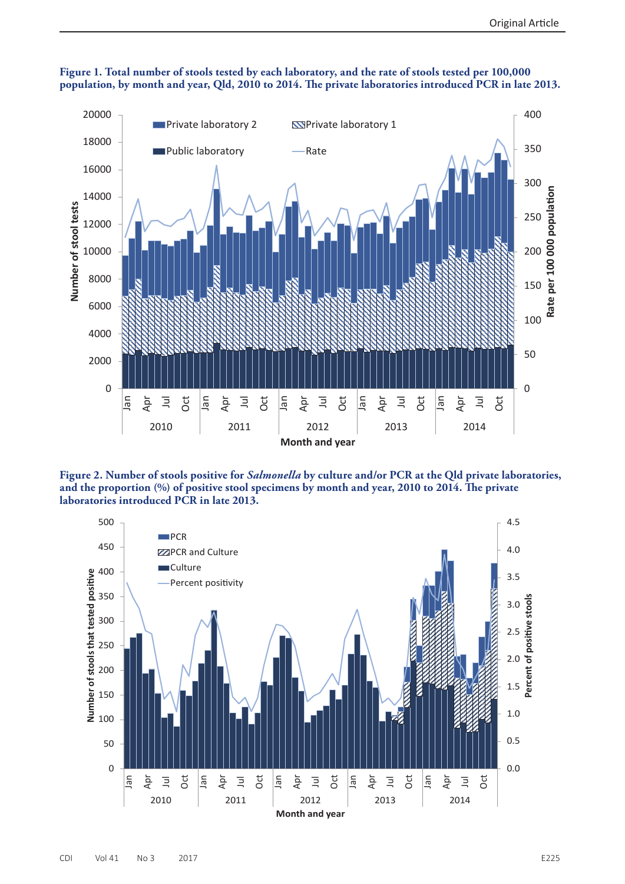



**Figure 2. Number of stools positive for** *Salmonella* **by culture and/or PCR at the Qld private laboratories, and the proportion (%) of positive stool specimens by month and year, 2010 to 2014. The private laboratories introduced PCR in late 2013.**

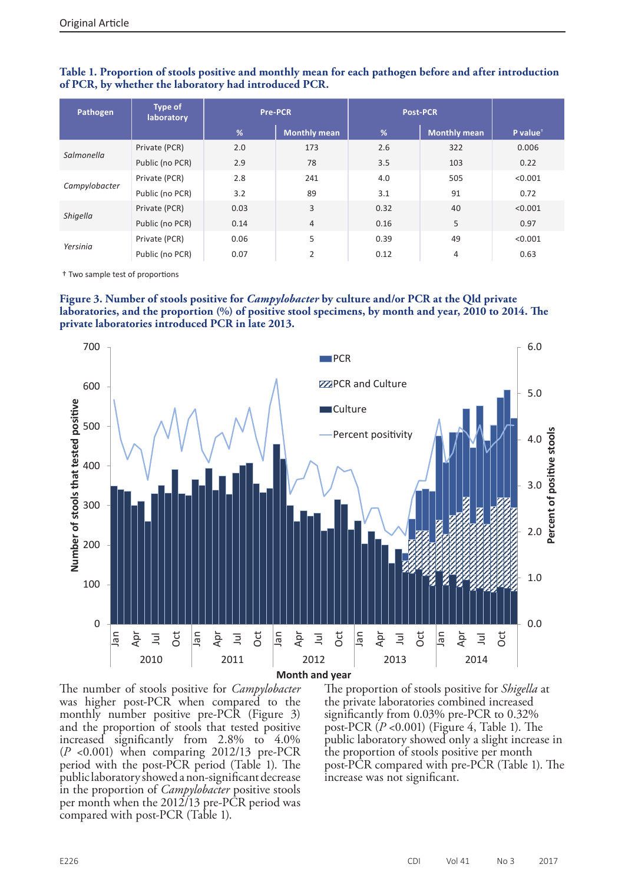| Pathogen      | <b>Type of</b><br>laboratory |      | <b>Pre-PCR</b>      | <b>Post-PCR</b> |                     |                      |
|---------------|------------------------------|------|---------------------|-----------------|---------------------|----------------------|
|               |                              | %    | <b>Monthly mean</b> | %               | <b>Monthly mean</b> | P value <sup>+</sup> |
| Salmonella    | Private (PCR)                | 2.0  | 173                 | 2.6             | 322                 | 0.006                |
|               | Public (no PCR)              | 2.9  | 78                  | 3.5             | 103                 | 0.22                 |
| Campylobacter | Private (PCR)                | 2.8  | 241                 | 4.0             | 505                 | < 0.001              |
|               | Public (no PCR)              | 3.2  | 89                  | 3.1             | 91                  | 0.72                 |
| Shigella      | Private (PCR)                | 0.03 | 3                   | 0.32            | 40                  | < 0.001              |
|               | Public (no PCR)              | 0.14 | $\overline{4}$      | 0.16            | 5                   | 0.97                 |
| Yersinia      | Private (PCR)                | 0.06 | 5                   | 0.39            | 49                  | < 0.001              |
|               | Public (no PCR)              | 0.07 | $\overline{2}$      | 0.12            | 4                   | 0.63                 |

#### **Table 1. Proportion of stools positive and monthly mean for each pathogen before and after introduction of PCR, by whether the laboratory had introduced PCR.**

† Two sample test of proportions





The number of stools positive for *Campylobacter* was higher post-PCR when compared to the monthly number positive pre-PCR (Figure 3) and the proportion of stools that tested positive increased significantly from 2.8% to 4.0% (*P* <0.001) when comparing 2012/13 pre-PCR period with the post-PCR period (Table 1). The public laboratory showed a non-significant decrease in the proportion of *Campylobacter* positive stools per month when the 2012/13 pre-PCR period was compared with post-PCR (Table 1).

The proportion of stools positive for *Shigella* at the private laboratories combined increased significantly from 0.03% pre-PCR to 0.32% post-PCR (*P* <0.001) (Figure 4, Table 1). The public laboratory showed only a slight increase in the proportion of stools positive per month post-PCR compared with pre-PCR (Table 1). The increase was not significant.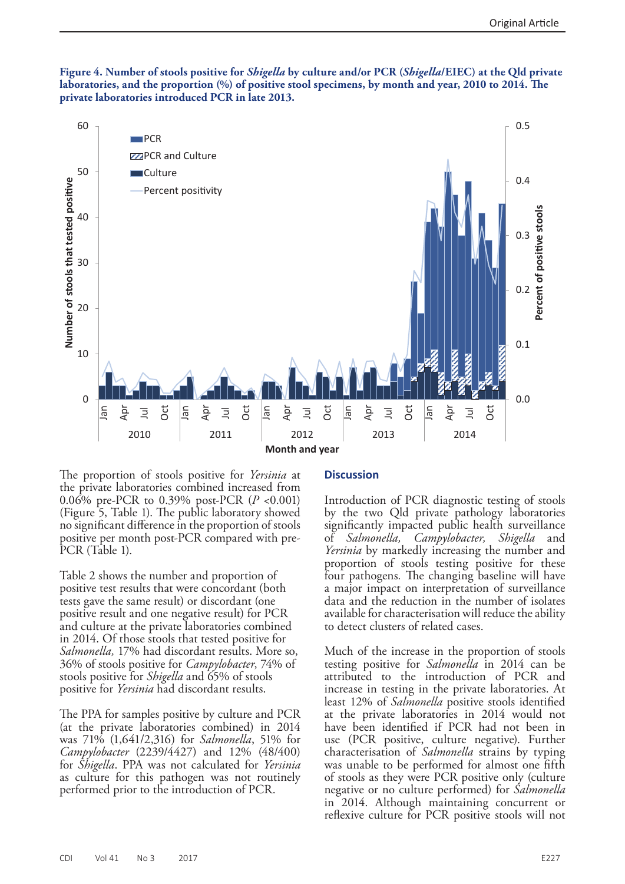



The proportion of stools positive for *Yersinia* at the private laboratories combined increased from 0.06% pre-PCR to 0.39% post-PCR (*P* <0.001) (Figure 5, Table 1). The public laboratory showed no significant difference in the proportion of stools positive per month post-PCR compared with pre-PCR (Table 1).

Table 2 shows the number and proportion of positive test results that were concordant (both tests gave the same result) or discordant (one positive result and one negative result) for PCR and culture at the private laboratories combined in 2014. Of those stools that tested positive for *Salmonella,* 17% had discordant results. More so, 36% of stools positive for *Campylobacter*, 74% of stools positive for *Shigella* and 65% of stools positive for *Yersinia* had discordant results.

The PPA for samples positive by culture and PCR (at the private laboratories combined) in 2014 was 71% (1,641/2,316) for *Salmonella*, 51% for *Campylobacter* (2239/4427) and 12% (48/400) for *Shigella*. PPA was not calculated for *Yersinia*  as culture for this pathogen was not routinely performed prior to the introduction of PCR.

#### **Discussion**

Introduction of PCR diagnostic testing of stools by the two Qld private pathology laboratories significantly impacted public health surveillance of *Salmonella, Campylobacter, Shigella* and *Yersinia* by markedly increasing the number and proportion of stools testing positive for these four pathogens*.* The changing baseline will have a major impact on interpretation of surveillance data and the reduction in the number of isolates available for characterisation will reduce the ability to detect clusters of related cases.

Much of the increase in the proportion of stools testing positive for *Salmonella* in 2014 can be attributed to the introduction of PCR and increase in testing in the private laboratories. At least 12% of *Salmonella* positive stools identified at the private laboratories in 2014 would not have been identified if PCR had not been in use (PCR positive, culture negative). Further characterisation of *Salmonella* strains by typing was unable to be performed for almost one fifth of stools as they were PCR positive only (culture negative or no culture performed) for *Salmonella* in 2014. Although maintaining concurrent or reflexive culture for PCR positive stools will not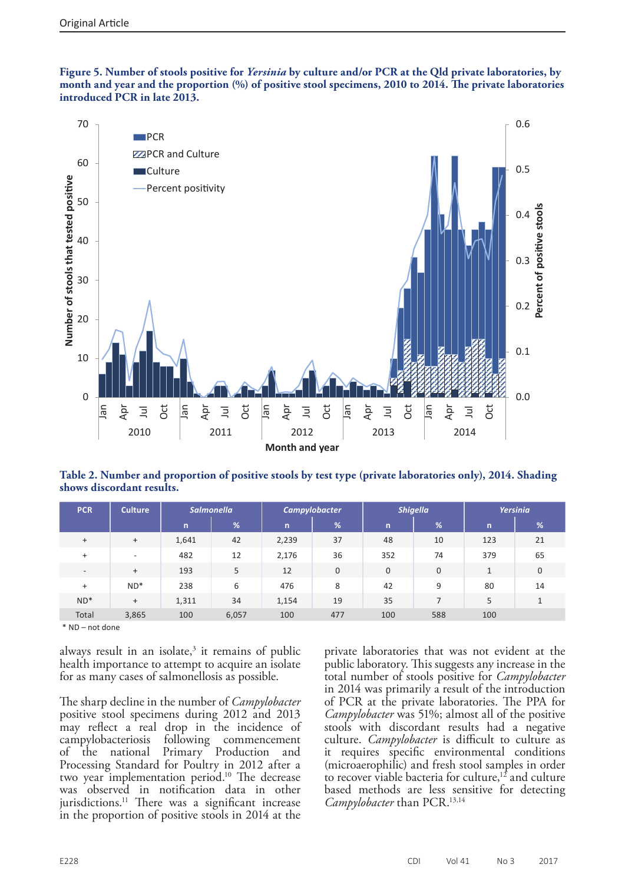**Figure 5. Number of stools positive for** *Yersinia* **by culture and/or PCR at the Qld private laboratories, by month and year and the proportion (%) of positive stool specimens, 2010 to 2014. The private laboratories introduced PCR in late 2013.**



**Table 2. Number and proportion of positive stools by test type (private laboratories only), 2014. Shading shows discordant results.**

| <b>PCR</b>               | <b>Culture</b>           | <b>Salmonella</b> |       | <b>Campylobacter</b> |     | <b>Shigella</b> |             | Yersinia     |              |
|--------------------------|--------------------------|-------------------|-------|----------------------|-----|-----------------|-------------|--------------|--------------|
|                          |                          | $\mathsf{n}$      | %     | $\mathsf{n}$         | %'  | $\mathsf{n}$    | %           | n.           | %            |
| $^{+}$                   | $^{+}$                   | 1,641             | 42    | 2,239                | 37  | 48              | 10          | 123          | 21           |
| $\ddot{}$                | $\overline{\phantom{a}}$ | 482               | 12    | 2,176                | 36  | 352             | 74          | 379          | 65           |
| $\overline{\phantom{a}}$ | $^{+}$                   | 193               | 5     | 12                   | 0   | 0               | $\mathbf 0$ | $\mathbf{1}$ | $\mathbf{0}$ |
| $^{+}$                   | $ND^*$                   | 238               | 6     | 476                  | 8   | 42              | 9           | 80           | 14           |
| $ND^*$                   | $^{+}$                   | 1,311             | 34    | 1,154                | 19  | 35              | 7           | 5            |              |
| Total                    | 3,865                    | 100               | 6,057 | 100                  | 477 | 100             | 588         | 100          |              |

\* ND – not done

always result in an isolate, $3$  it remains of public health importance to attempt to acquire an isolate for as many cases of salmonellosis as possible.

The sharp decline in the number of *Campylobacter*  positive stool specimens during 2012 and 2013 may reflect a real drop in the incidence of campylobacteriosis following commencement campylobacteriosis following commencement of the national Processing Standard for Poultry in 2012 after a two year implementation period.10 The decrease was observed in notification data in other jurisdictions.<sup>11</sup> There was a significant increase in the proportion of positive stools in 2014 at the

private laboratories that was not evident at the public laboratory. This suggests any increase in the total number of stools positive for *Campylobacter* in 2014 was primarily a result of the introduction of PCR at the private laboratories. The PPA for *Campylobacter* was 51%; almost all of the positive stools with discordant results had a negative culture. *Campylobacter* is difficult to culture as it requires specific environmental conditions (microaerophilic) and fresh stool samples in order to recover viable bacteria for culture,<sup>12</sup> and culture based methods are less sensitive for detecting *Campylobacter* than PCR.<sup>13,14</sup>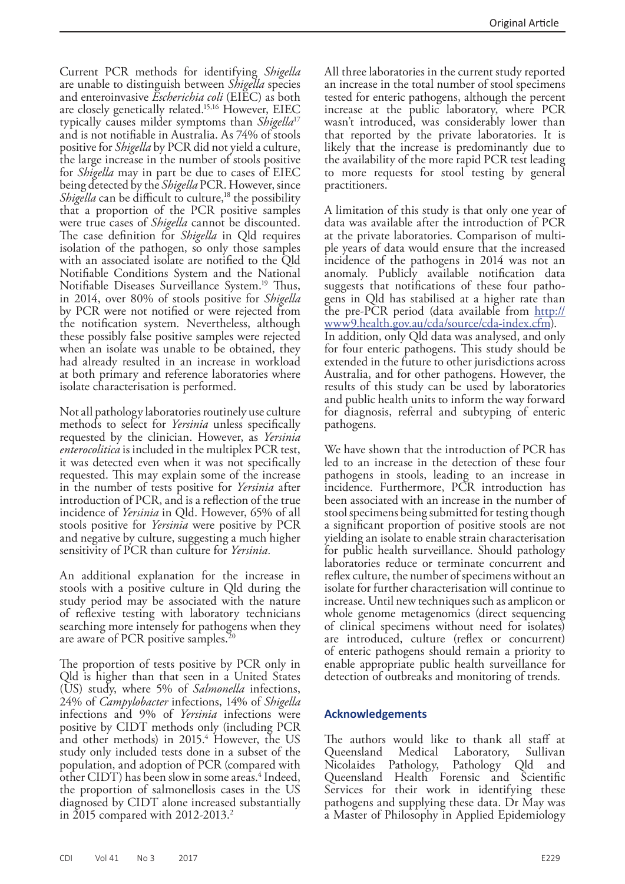Current PCR methods for identifying *Shigella* are unable to distinguish between *Shigella* species and enteroinvasive *Escherichia coli* (EIEC) as both are closely genetically related.15,16 However, EIEC typically causes milder symptoms than *Shigella*<sup>17</sup> and is not notifiable in Australia. As 74% of stools positive for *Shigella* by PCR did not yield a culture, the large increase in the number of stools positive for *Shigella* may in part be due to cases of EIEC being detected by the *Shigella* PCR. However, since *Shigella* can be difficult to culture,<sup>18</sup> the possibility that a proportion of the PCR positive samples were true cases of *Shigella* cannot be discounted. The case definition for *Shigella* in Qld requires isolation of the pathogen, so only those samples with an associated isolate are notified to the Qld Notifiable Conditions System and the National Notifiable Diseases Surveillance System.19 Thus, in 2014, over 80% of stools positive for *Shigella*  by PCR were not notified or were rejected from the notification system*.* Nevertheless, although these possibly false positive samples were rejected when an isolate was unable to be obtained, they had already resulted in an increase in workload at both primary and reference laboratories where isolate characterisation is performed.

Not all pathology laboratories routinely use culture methods to select for *Yersinia* unless specifically requested by the clinician. However, as *Yersinia enterocolitica* is included in the multiplex PCR test, it was detected even when it was not specifically requested. This may explain some of the increase in the number of tests positive for *Yersinia* after introduction of PCR, and is a reflection of the true incidence of *Yersinia* in Qld. However, 65% of all stools positive for *Yersinia* were positive by PCR and negative by culture, suggesting a much higher sensitivity of PCR than culture for *Yersinia.* 

An additional explanation for the increase in stools with a positive culture in Qld during the study period may be associated with the nature of reflexive testing with laboratory technicians searching more intensely for pathogens when they are aware of PCR positive samples.20

The proportion of tests positive by PCR only in Qld is higher than that seen in a United States (US) study, where 5% of *Salmonella* infections, 24% of *Campylobacter* infections, 14% of *Shigella*  infections and 9% of *Yersinia* infections were positive by CIDT methods only (including PCR and other methods) in 2015.4 However, the US study only included tests done in a subset of the population, and adoption of PCR (compared with other CIDT) has been slow in some areas.<sup>4</sup> Indeed, the proportion of salmonellosis cases in the US diagnosed by CIDT alone increased substantially in 2015 compared with 2012-2013.<sup>2</sup>

All three laboratories in the current study reported an increase in the total number of stool specimens tested for enteric pathogens, although the percent increase at the public laboratory, where PCR wasn't introduced, was considerably lower than that reported by the private laboratories. It is likely that the increase is predominantly due to the availability of the more rapid PCR test leading to more requests for stool testing by general practitioners.

A limitation of this study is that only one year of data was available after the introduction of PCR at the private laboratories. Comparison of multiple years of data would ensure that the increased incidence of the pathogens in 2014 was not an anomaly. Publicly available notification data suggests that notifications of these four pathogens in Qld has stabilised at a higher rate than the pre-PCR period (data available from [http://](http://www9.health.gov.au/cda/source/cda-index.cfm) [www9.health.gov.au/cda/source/cda-index.cfm](http://www9.health.gov.au/cda/source/cda-index.cfm)). In addition, only Qld data was analysed, and only for four enteric pathogens. This study should be extended in the future to other jurisdictions across Australia, and for other pathogens. However, the results of this study can be used by laboratories and public health units to inform the way forward for diagnosis, referral and subtyping of enteric pathogens.

We have shown that the introduction of PCR has led to an increase in the detection of these four pathogens in stools, leading to an increase in incidence. Furthermore, PCR introduction has been associated with an increase in the number of stool specimens being submitted for testing though a significant proportion of positive stools are not yielding an isolate to enable strain characterisation for public health surveillance. Should pathology laboratories reduce or terminate concurrent and reflex culture, the number of specimens without an isolate for further characterisation will continue to increase. Until new techniques such as amplicon or whole genome metagenomics (direct sequencing of clinical specimens without need for isolates) are introduced, culture (reflex or concurrent) of enteric pathogens should remain a priority to enable appropriate public health surveillance for detection of outbreaks and monitoring of trends.

#### **Acknowledgements**

The authors would like to thank all staff at<br>Queensland Medical Laboratory, Sullivan Queensland Medical Laboratory, Sullivan Nicolaides Pathology, Pathology Qld and Queensland Health Forensic and Scientific Services for their work in identifying these pathogens and supplying these data. Dr May was a Master of Philosophy in Applied Epidemiology